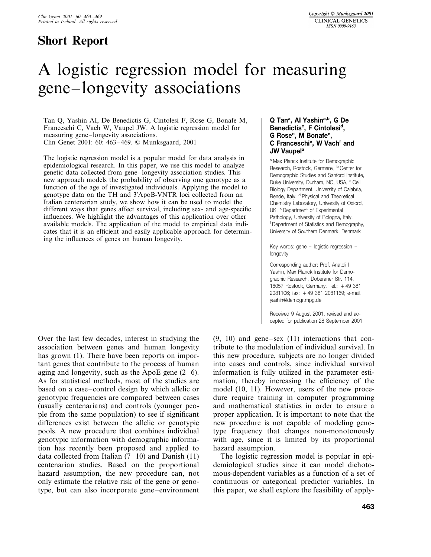## **Short Report**

# A logistic regression model for measuring gene–longevity associations

Tan Q, Yashin AI, De Benedictis G, Cintolesi F, Rose G, Bonafe M, Franceschi C, Vach W, Vaupel JW. A logistic regression model for measuring gene–longevity associations. Clin Genet 2001: 60: 463–469. © Munksgaard, 2001

The logistic regression model is a popular model for data analysis in epidemiological research. In this paper, we use this model to analyze genetic data collected from gene–longevity association studies. This new approach models the probability of observing one genotype as a function of the age of investigated individuals. Applying the model to genotype data on the TH and 3'ApoB-VNTR loci collected from an Italian centenarian study, we show how it can be used to model the different ways that genes affect survival, including sex- and age-specific influences. We highlight the advantages of this application over other available models. The application of the model to empirical data indicates that it is an efficient and easily applicable approach for determining the influences of genes on human longevity.

Over the last few decades, interest in studying the association between genes and human longevity has grown (1). There have been reports on important genes that contribute to the process of human aging and longevity, such as the ApoE gene  $(2-6)$ . As for statistical methods, most of the studies are based on a case–control design by which allelic or genotypic frequencies are compared between cases (usually centenarians) and controls (younger people from the same population) to see if significant differences exist between the allelic or genotypic pools. A new procedure that combines individual genotypic information with demographic information has recently been proposed and applied to data collected from Italian  $(7-10)$  and Danish  $(11)$ centenarian studies. Based on the proportional hazard assumption, the new procedure can, not only estimate the relative risk of the gene or genotype, but can also incorporate gene–environment

#### **Q Tana , AI Yashina,b, G De** Benedictis<sup>c</sup>, F Cintolesi<sup>d</sup>, G Rose<sup>c</sup>, M Bonafe<sup>e</sup>, **C Franceschie , W Vach<sup>f</sup> and JW Vaupela**

a Max Planck Institute for Demographic Research, Rostock, Germany, <sup>b</sup> Center for Demographic Studies and Sanford Institute, Duke University, Durham, NC, USA, <sup>c</sup> Cell Biology Department, University of Calabria, Rende, Italy, <sup>d</sup> Physical and Theoretical Chemistry Laboratory, University of Oxford, UK, <sup>e</sup> Department of Experimental Pathology, University of Bologna, Italy, f Department of Statistics and Demography, University of Southern Denmark, Denmark

Key words: gene – logistic regression – longevity

Corresponding author: Prof. Anatoli I Yashin, Max Planck Institute for Demographic Research, Doberaner Str. 114, 18057 Rostock, Germany. Tel.: +49 381 2081106; fax: +49 381 2081169; e-mail. yashin@demogr.mpg.de

Received 9 August 2001, revised and accepted for publication 28 September 2001

(9, 10) and gene–sex (11) interactions that contribute to the modulation of individual survival. In this new procedure, subjects are no longer divided into cases and controls, since individual survival information is fully utilized in the parameter estimation, thereby increasing the efficiency of the model (10, 11). However, users of the new procedure require training in computer programming and mathematical statistics in order to ensure a proper application. It is important to note that the new procedure is not capable of modeling genotype frequency that changes non-monotonously with age, since it is limited by its proportional hazard assumption.

The logistic regression model is popular in epidemiological studies since it can model dichotomous-dependent variables as a function of a set of continuous or categorical predictor variables. In this paper, we shall explore the feasibility of apply-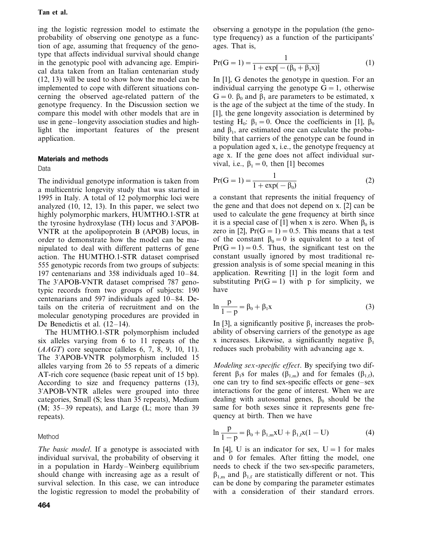#### **Tan et al.**

ing the logistic regression model to estimate the probability of observing one genotype as a function of age, assuming that frequency of the genotype that affects individual survival should change in the genotypic pool with advancing age. Empirical data taken from an Italian centenarian study (12, 13) will be used to show how the model can be implemented to cope with different situations concerning the observed age-related pattern of the genotype frequency. In the Discussion section we compare this model with other models that are in use in gene–longevity association studies and highlight the important features of the present application.

#### **Materials and methods**

Data

The individual genotype information is taken from a multicentric longevity study that was started in 1995 in Italy. A total of 12 polymorphic loci were analyzed (10, 12, 13). In this paper, we select two highly polymorphic markers, HUMTHO.1-STR at the tyrosine hydroxylase (TH) locus and 3'APOB-VNTR at the apolipoprotein B (APOB) locus, in order to demonstrate how the model can be manipulated to deal with different patterns of gene action. The HUMTHO.1-STR dataset comprised 555 genotypic records from two groups of subjects: 197 centenarians and 358 individuals aged 10–84. The 3'APOB-VNTR dataset comprised 787 genotypic records from two groups of subjects: 190 centenarians and 597 individuals aged 10–84. Details on the criteria of recruitment and on the molecular genotyping procedures are provided in De Benedictis et al. (12–14).

The HUMTHO.1-STR polymorphism included six alleles varying from 6 to 11 repeats of the (*AAGT*) core sequence (alleles 6, 7, 8, 9, 10, 11). The 3'APOB-VNTR polymorphism included 15 alleles varying from 26 to 55 repeats of a dimeric AT-rich core sequence (basic repeat unit of 15 bp). According to size and frequency patterns (13), 3' APOB-VNTR alleles were grouped into three categories, Small (S; less than 35 repeats), Medium (M; 35–39 repeats), and Large (L; more than 39 repeats).

### Method

*The basic model*. If a genotype is associated with individual survival, the probability of observing it in a population in Hardy–Weinberg equilibrium should change with increasing age as a result of survival selection. In this case, we can introduce the logistic regression to model the probability of

$$
Pr(G = 1) = \frac{1}{1 + exp[-(\beta_0 + \beta_1 x)]}
$$
(1)

In [1], G denotes the genotype in question. For an individual carrying the genotype  $G = 1$ , otherwise  $G = 0$ .  $\beta_0$  and  $\beta_1$  are parameters to be estimated, x is the age of the subject at the time of the study. In [1], the gene longevity association is determined by testing H<sub>0</sub>:  $\beta_1=0$ . Once the coefficients in [1],  $\beta_0$ and  $\beta_1$ , are estimated one can calculate the probability that carriers of the genotype can be found in a population aged x, i.e., the genotype frequency at age x. If the gene does not affect individual survival, i.e.,  $\beta_1 = 0$ , then [1] becomes

$$
Pr(G = 1) = \frac{1}{1 + exp(-\beta_0)}
$$
 (2)

a constant that represents the initial frequency of the gene and that does not depend on x. [2] can be used to calculate the gene frequency at birth since it is a special case of [1] when x is zero. When  $\beta_0$  is zero in [2],  $Pr(G = 1) = 0.5$ . This means that a test of the constant  $\beta_0=0$  is equivalent to a test of  $Pr(G=1)=0.5$ . Thus, the significant test on the constant usually ignored by most traditional regression analysis is of some special meaning in this application. Rewriting [1] in the logit form and substituting  $Pr(G=1)$  with p for simplicity, we have

$$
\ln \frac{p}{1-p} = \beta_0 + \beta_1 x \tag{3}
$$

In [3], a significantly positive  $\beta_1$  increases the probability of observing carriers of the genotype as age x increases. Likewise, a significantly negative  $\beta_1$ reduces such probability with advancing age x.

*Modeling sex*-*specific effect*. By specifying two different  $\beta_1$ s for males ( $\beta_{1,m}$ ) and for females ( $\beta_{1,f}$ ), one can try to find sex-specific effects or gene–sex interactions for the gene of interest. When we are dealing with autosomal genes,  $\beta_0$  should be the same for both sexes since it represents gene frequency at birth. Then we have

$$
\ln \frac{p}{1-p} = \beta_0 + \beta_{1,m} xU + \beta_{1,f} x(1-U)
$$
 (4)

In [4], U is an indicator for sex,  $U = 1$  for males and 0 for females. After fitting the model, one needs to check if the two sex-specific parameters,  $\beta_{1,m}$  and  $\beta_{1,f}$  are statistically different or not. This can be done by comparing the parameter estimates with a consideration of their standard errors.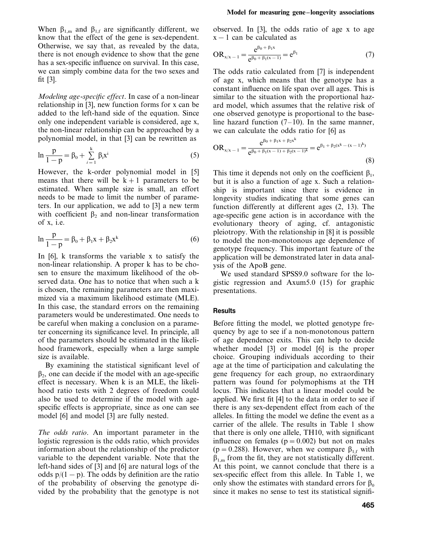When  $\beta_{1,m}$  and  $\beta_{1,f}$  are significantly different, we know that the effect of the gene is sex-dependent. Otherwise, we say that, as revealed by the data, there is not enough evidence to show that the gene has a sex-specific influence on survival. In this case, we can simply combine data for the two sexes and fit [3].

*Modeling age*-*specific effect*. In case of a non-linear relationship in [3], new function forms for x can be added to the left-hand side of the equation. Since only one independent variable is considered, age x, the non-linear relationship can be approached by a polynomial model, in that [3] can be rewritten as

$$
\ln \frac{p}{1-p} = \beta_0 + \sum_{i=1}^{k} \beta_i x^i
$$
 (5)

However, the k-order polynomial model in [5] means that there will be  $k+1$  parameters to be estimated. When sample size is small, an effort needs to be made to limit the number of parameters. In our application, we add to [3] a new term with coefficient  $\beta_2$  and non-linear transformation of x, i.e.

$$
\ln \frac{p}{1-p} = \beta_0 + \beta_1 x + \beta_2 x^k
$$
 (6)

In [6], k transforms the variable x to satisfy the non-linear relationship. A proper k has to be chosen to ensure the maximum likelihood of the observed data. One has to notice that when such a k is chosen, the remaining parameters are then maximized via a maximum likelihood estimate (MLE). In this case, the standard errors on the remaining parameters would be underestimated. One needs to be careful when making a conclusion on a parameter concerning its significance level. In principle, all of the parameters should be estimated in the likelihood framework, especially when a large sample size is available.

By examining the statistical significant level of  $\beta_2$ , one can decide if the model with an age-specific effect is necessary. When k is an MLE, the likelihood ratio tests with 2 degrees of freedom could also be used to determine if the model with agespecific effects is appropriate, since as one can see model [6] and model [3] are fully nested.

*The odds ratio*. An important parameter in the logistic regression is the odds ratio, which provides information about the relationship of the predictor variable to the dependent variable. Note that the left-hand sides of [3] and [6] are natural logs of the odds  $p/(1-p)$ . The odds by definition are the ratio of the probability of observing the genotype divided by the probability that the genotype is not observed. In [3], the odds ratio of age x to age x−1 can be calculated as

$$
OR_{x/x-1} = \frac{e^{\beta_0 + \beta_1 x}}{e^{\beta_0 + \beta_1 (x-1)}} = e^{\beta_1}
$$
 (7)

The odds ratio calculated from [7] is independent of age x, which means that the genotype has a constant influence on life span over all ages. This is similar to the situation with the proportional hazard model, which assumes that the relative risk of one observed genotype is proportional to the baseline hazard function  $(7-10)$ . In the same manner, we can calculate the odds ratio for [6] as

OR<sub>x/x-1</sub> = 
$$
\frac{e^{\beta_0 + \beta_1 x + \beta_2 x^k}}{e^{\beta_0 + \beta_1 (x-1) + \beta_2 (x-1)^k}} = e^{\beta_1 + \beta_2 (x^k - (x-1)^k)}
$$
(8)

This time it depends not only on the coefficient  $\beta_1$ , but it is also a function of age x. Such a relationship is important since there is evidence in longevity studies indicating that some genes can function differently at different ages (2, 13). The age-specific gene action is in accordance with the evolutionary theory of aging, cf. antagonistic pleiotropy. With the relationship in [8] it is possible to model the non-monotonous age dependence of genotype frequency. This important feature of the application will be demonstrated later in data analysis of the ApoB gene.

We used standard SPSS9.0 software for the logistic regression and Axum5.0 (15) for graphic presentations.

#### **Results**

Before fitting the model, we plotted genotype frequency by age to see if a non-monotonous pattern of age dependence exits. This can help to decide whether model [3] or model [6] is the proper choice. Grouping individuals according to their age at the time of participation and calculating the gene frequency for each group, no extraordinary pattern was found for polymophisms at the TH locus. This indicates that a linear model could be applied. We first fit [4] to the data in order to see if there is any sex-dependent effect from each of the alleles. In fitting the model we define the event as a carrier of the allele. The results in Table 1 show that there is only one allele, TH10, with significant influence on females ( $p = 0.002$ ) but not on males (p = 0.288). However, when we compare  $\beta_{1,f}$  with  $\beta_{1,m}$  from the fit, they are not statistically different. At this point, we cannot conclude that there is a sex-specific effect from this allele. In Table 1, we only show the estimates with standard errors for  $\beta_0$ since it makes no sense to test its statistical signifi-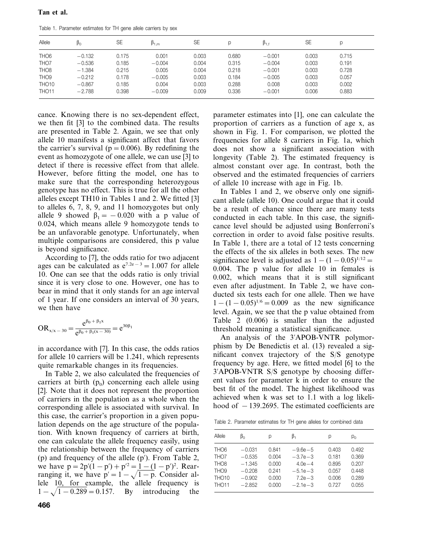Table 1. Parameter estimates for TH gene allele carriers by sex

| Allele           | $\beta_0$ | <b>SE</b> | $\beta_{1.m}$ | <b>SE</b> |       | $\beta_{1,f}$ | <b>SE</b> |       |
|------------------|-----------|-----------|---------------|-----------|-------|---------------|-----------|-------|
| THO <sub>6</sub> | $-0.132$  | 0.175     | 0.001         | 0.003     | 0.680 | $-0.001$      | 0.003     | 0.715 |
| THO7             | $-0.536$  | 0.185     | $-0.004$      | 0.004     | 0.315 | $-0.004$      | 0.003     | 0.191 |
| THO <sub>8</sub> | $-1.384$  | 0.215     | 0.005         | 0.004     | 0.218 | $-0.001$      | 0.003     | 0.728 |
| THO <sub>9</sub> | $-0.212$  | 0.178     | $-0.005$      | 0.003     | 0.184 | $-0.005$      | 0.003     | 0.057 |
| <b>THO10</b>     | $-0.867$  | 0.185     | 0.004         | 0.003     | 0.288 | 0.008         | 0.003     | 0.002 |
| <b>THO11</b>     | $-2.788$  | 0.398     | $-0.009$      | 0.009     | 0.336 | $-0.001$      | 0.006     | 0.883 |

cance. Knowing there is no sex-dependent effect, we then fit [3] to the combined data. The results are presented in Table 2. Again, we see that only allele 10 manifests a significant affect that favors the carrier's survival ( $p = 0.006$ ). By redefining the event as homozygote of one allele, we can use [3] to detect if there is recessive effect from that allele. However, before fitting the model, one has to make sure that the corresponding heterozygous genotype has no effect. This is true for all the other alleles except TH10 in Tables 1 and 2. We fitted [3] to alleles 6, 7, 8, 9, and 11 homozygotes but only allele 9 showed  $\beta_1 = -0.020$  with a p value of 0.024, which means allele 9 homozygote tends to be an unfavorable genotype. Unfortunately, when multiple comparisons are considered, this p value is beyond significance.

According to [7], the odds ratio for two adjacent ages can be calculated as  $e^{7.2e-3} = 1.007$  for allele 10. One can see that the odds ratio is only trivial since it is very close to one. However, one has to bear in mind that it only stands for an age interval of 1 year. If one considers an interval of 30 years, we then have

$$
OR_{x/x - 30} = \frac{e^{\beta_0 + \beta_1 x}}{e^{\beta_0 + \beta_1(x - 30)}} = e^{30\beta_1}
$$

in accordance with [7]. In this case, the odds ratios for allele 10 carriers will be 1.241, which represents quite remarkable changes in its frequencies.

In Table 2, we also calculated the frequencies of carriers at birth  $(p_0)$  concerning each allele using [2]. Note that it does not represent the proportion of carriers in the population as a whole when the corresponding allele is associated with survival. In this case, the carrier's proportion in a given population depends on the age structure of the population. With known frequency of carriers at birth, one can calculate the allele frequency easily, using the relationship between the frequency of carriers (p) and frequency of the allele  $(p')$ . From Table 2, we have  $p = 2p'(1-p') + p'^2 = \underline{1 - (1 - p')^2}$ . Rearranging it, we have  $p' = 1 - \sqrt{1 - p}$ . Consider allele 10, for example, the allele frequency is  $1 - \sqrt{1 - 0.289} = 0.157$ . By introducing the

parameter estimates into [1], one can calculate the proportion of carriers as a function of age x, as shown in Fig. 1. For comparison, we plotted the frequencies for allele 8 carriers in Fig. 1a, which does not show a significant association with longevity (Table 2). The estimated frequency is almost constant over age. In contrast, both the observed and the estimated frequencies of carriers of allele 10 increase with age in Fig. 1b.

In Tables 1 and 2, we observe only one significant allele (allele 10). One could argue that it could be a result of chance since there are many tests conducted in each table. In this case, the significance level should be adjusted using Bonferroni's correction in order to avoid false positive results. In Table 1, there are a total of 12 tests concerning the effects of the six alleles in both sexes. The new significance level is adjusted as  $1-(1-0.05)^{1/12}=$ 0.004. The p value for allele 10 in females is 0.002, which means that it is still significant even after adjustment. In Table 2, we have conducted six tests each for one allele. Then we have  $1-(1-0.05)^{1/6}=0.009$  as the new significance level. Again, we see that the p value obtained from Table 2 (0.006) is smaller than the adjusted threshold meaning a statistical significance.

An analysis of the 3'APOB-VNTR polymorphism by De Benedictis et al. (13) revealed a significant convex trajectory of the S/S genotype frequency by age. Here, we fitted model [6] to the 3' APOB-VNTR S/S genotype by choosing different values for parameter k in order to ensure the best fit of the model. The highest likelihood was achieved when k was set to 1.1 with a log likelihood of  $-139.2695$ . The estimated coefficients are

Table 2. Parameter estimates for TH gene alleles for combined data

| Allele                                                                                                         | $\beta_{\odot}$                                                      | р                                                  | β,                                                                           | р                                                  | $p_0$                                              |
|----------------------------------------------------------------------------------------------------------------|----------------------------------------------------------------------|----------------------------------------------------|------------------------------------------------------------------------------|----------------------------------------------------|----------------------------------------------------|
| THO <sub>6</sub><br>TH <sub>O</sub> 7<br>THO <sub>8</sub><br>TH <sub>O</sub> 9<br><b>THO10</b><br><b>THO11</b> | $-0.031$<br>$-0.535$<br>$-1.345$<br>$-0.208$<br>$-0.902$<br>$-2.852$ | 0.841<br>0.004<br>0.000<br>0.241<br>0.000<br>0.000 | $-9.6e-5$<br>$-3.7e-3$<br>$4.0e - 4$<br>$-5.1e-3$<br>$7.2e - 3$<br>$-2.1e-3$ | 0.403<br>0.181<br>0.895<br>0.057<br>0.006<br>0.727 | 0.492<br>0.369<br>0.207<br>0.448<br>0.289<br>0.055 |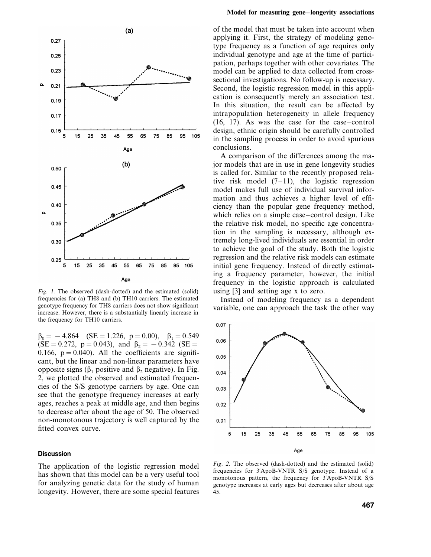

*Fig*. 1. The observed (dash-dotted) and the estimated (solid) frequencies for (a) TH8 and (b) TH10 carriers. The estimated genotype frequency for TH8 carriers does not show significant increase. However, there is a substantially linearly increase in the frequency for TH10 carriers.

 $\beta_0 = -4.864$  (SE = 1.226, p = 0.00),  $\beta_1 = 0.549$  $(SE = 0.272, p = 0.043)$ , and  $\beta_2 = -0.342$  (SE = 0.166,  $p = 0.040$ ). All the coefficients are significant, but the linear and non-linear parameters have opposite signs  $(\beta_1$  positive and  $\beta_2$  negative). In Fig. 2, we plotted the observed and estimated frequencies of the S/S genotype carriers by age. One can see that the genotype frequency increases at early ages, reaches a peak at middle age, and then begins to decrease after about the age of 50. The observed non-monotonous trajectory is well captured by the fitted convex curve.

#### **Discussion**

The application of the logistic regression model has shown that this model can be a very useful tool for analyzing genetic data for the study of human longevity. However, there are some special features

#### **Model for measuring gene–longevity associations**

of the model that must be taken into account when applying it. First, the strategy of modeling genotype frequency as a function of age requires only individual genotype and age at the time of participation, perhaps together with other covariates. The model can be applied to data collected from crosssectional investigations. No follow-up is necessary. Second, the logistic regression model in this application is consequently merely an association test. In this situation, the result can be affected by intrapopulation heterogeneity in allele frequency (16, 17). As was the case for the case–control design, ethnic origin should be carefully controlled in the sampling process in order to avoid spurious conclusions.

A comparison of the differences among the major models that are in use in gene longevity studies is called for. Similar to the recently proposed relative risk model  $(7-11)$ , the logistic regression model makes full use of individual survival information and thus achieves a higher level of efficiency than the popular gene frequency method, which relies on a simple case–control design. Like the relative risk model, no specific age concentration in the sampling is necessary, although extremely long-lived individuals are essential in order to achieve the goal of the study. Both the logistic regression and the relative risk models can estimate initial gene frequency. Instead of directly estimating a frequency parameter, however, the initial frequency in the logistic approach is calculated using [3] and setting age x to zero.

Instead of modeling frequency as a dependent variable, one can approach the task the other way



*Fig*. <sup>2</sup>. The observed (dash-dotted) and the estimated (solid) frequencies for 3'ApoB-VNTR S/S genotype. Instead of a monotonous pattern, the frequency for 3'ApoB-VNTR S/S genotype increases at early ages but decreases after about age 45.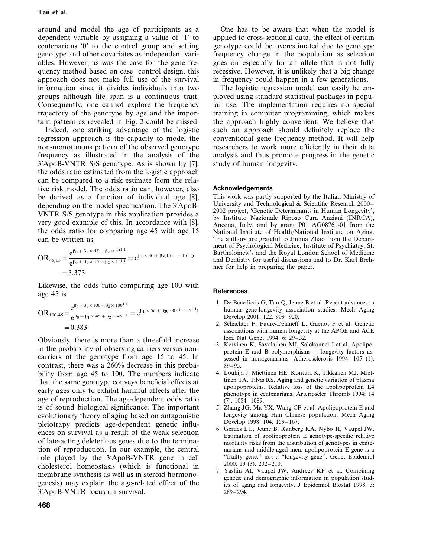around and model the age of participants as a dependent variable by assigning a value of '1' to centenarians '0' to the control group and setting genotype and other covariates as independent variables. However, as was the case for the gene frequency method based on case–control design, this approach does not make full use of the survival information since it divides individuals into two groups although life span is a continuous trait. Consequently, one cannot explore the frequency trajectory of the genotype by age and the important pattern as revealed in Fig. 2 could be missed.

Indeed, one striking advantage of the logistic regression approach is the capacity to model the non-monotonous pattern of the observed genotype frequency as illustrated in the analysis of the 3'ApoB-VNTR S/S genotype. As is shown by [7], the odds ratio estimated from the logistic approach can be compared to a risk estimate from the relative risk model. The odds ratio can, however, also be derived as a function of individual age [8], depending on the model specification. The 3'ApoB-VNTR S/S genotype in this application provides a very good example of this. In accordance with [8], the odds ratio for comparing age 45 with age 15 can be written as

$$
OR_{45/15} = \frac{e^{\beta_0 + \beta_1 \times 45 + \beta_2 \times 45^{1.1}}}{e^{\beta_0 + \beta_1 \times 15 + \beta_2 \times 15^{1.1}}} = e^{\beta_1 \times 30 + \beta_2(45^{1.1} - 15^{1.1})}
$$
  
= 3.373

Likewise, the odds ratio comparing age 100 with age 45 is

OR<sub>100/45</sub> = 
$$
\frac{e^{\beta_0 + \beta_1 \times 100 + \beta_2 \times 100^{1.1}}}{e^{\beta_0 + \beta_1 \times 45 + \beta_2 \times 45^{1.1}}} = e^{\beta_1 \times 56 + \beta_2(100^{1.1} - 45^{1.1})}
$$
  
= 0.383

Obviously, there is more than a threefold increase in the probability of observing carriers versus noncarriers of the genotype from age 15 to 45. In contrast, there was a 260% decrease in this probability from age 45 to 100. The numbers indicate that the same genotype conveys beneficial effects at early ages only to exhibit harmful affects after the age of reproduction. The age-dependent odds ratio is of sound biological significance. The important evolutionary theory of aging based on antagonistic pleiotrapy predicts age-dependent genetic influences on survival as a result of the weak selection of late-acting deleterious genes due to the termination of reproduction. In our example, the central role played by the 3'ApoB-VNTR gene in cell cholesterol homeostasis (which is functional in membrane synthesis as well as in steroid hormonogenesis) may explain the age-related effect of the 3' ApoB-VNTR locus on survival.

One has to be aware that when the model is applied to cross-sectional data, the effect of certain genotype could be overestimated due to genotype frequency change in the population as selection goes on especially for an allele that is not fully recessive. However, it is unlikely that a big change in frequency could happen in a few generations.

The logistic regression model can easily be employed using standard statistical packages in popular use. The implementation requires no special training in computer programming, which makes the approach highly convenient. We believe that such an approach should definitely replace the conventional gene frequency method. It will help researchers to work more efficiently in their data analysis and thus promote progress in the genetic study of human longevity.

#### **Acknowledgements**

This work was partly supported by the Italian Ministry of University and Technological & Scientific Research 2000– 2002 project, 'Genetic Determinants in Human Longevity', by Instituto Nazionale Riposo Cura Anziani (INRCA), Ancona, Italy, and by grant P01 AG08761-01 from the National Institute of Health/National Institute on Aging. The authors are grateful to Jinhua Zhao from the Department of Psychological Medicine, Institute of Psychiatry, St. Bartholomew's and the Royal London School of Medicine and Dentistry for useful discussions and to Dr. Karl Brehmer for help in preparing the paper.

#### **References**

- 1. De Benedictis G, Tan Q, Jeune B et al. Recent advances in human gene-longevity association studies. Mech Aging Develop 2001: 122: 909–920.
- 2. Schachter F, Faure-Delaneff L, Guenot F et al. Genetic associations with human longevity at the APOE and ACE loci. Nat Genet 1994: 6: 29–32.
- 3. Kervinen K, Savolainen MJ, Salokannel J et al. Apolipoprotein E and B polymorphisms – longevity factors assessed in nonagenarians. Atherosclerosis 1994: 105 (1): 89–95.
- 4. Louhija J, Miettinen HE, Kontula K, Tikkanen MJ, Miettinen TA, Tilvis RS. Aging and genetic variation of plasma apolipoproteins. Relative loss of the apolipoprotein E4 phenotype in centenarians. Arterioscler Thromb 1994: 14 (7): 1084–1089.
- 5. Zhang JG, Ma YX, Wang CF et al. Apolipoprotein E and longevity among Han Chinese population. Mech Aging Develop 1998: 104: 159–167.
- 6. Gerdes LU, Jeune B, Ranberg KA, Nybo H, Vaupel JW. Estimation of apolipoprotein E genotype-specific relative mortality risks from the distribution of genotypes in centenarians and middle-aged men: apolipoprotein E gene is a "frailty gene," not a "longevity gene". Genet Epidemiol 2000: 19 (3): 202–210.
- 7. Yashin AI, Vaupel JW, Andreev KF et al. Combining genetic and demographic information in population studies of aging and longevity. J Epidemiol Biostat 1998: 3: 289–294.